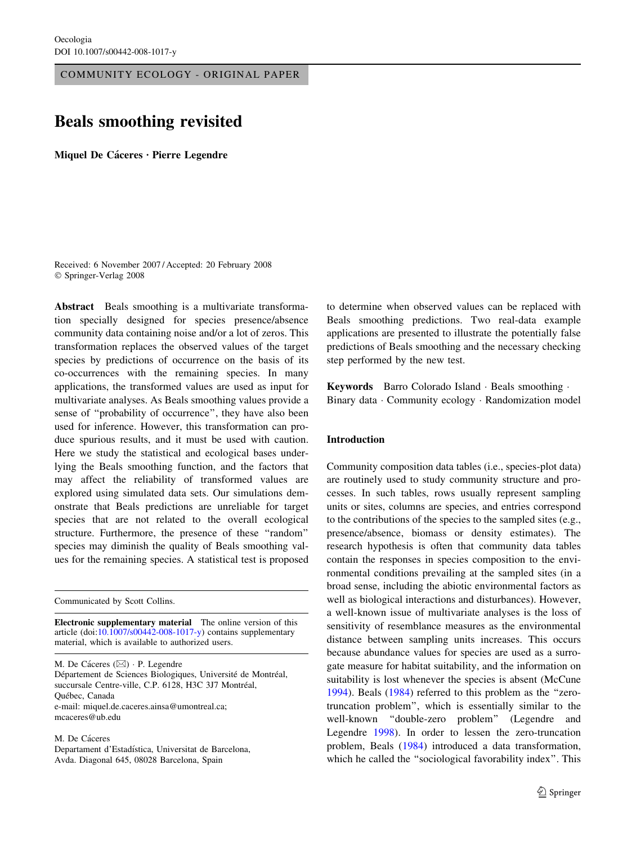COMMUNITY ECOLOGY - ORIGINAL PAPER

# Beals smoothing revisited

Miquel De Cáceres · Pierre Legendre

Received: 6 November 2007 / Accepted: 20 February 2008 Springer-Verlag 2008

Abstract Beals smoothing is a multivariate transformation specially designed for species presence/absence community data containing noise and/or a lot of zeros. This transformation replaces the observed values of the target species by predictions of occurrence on the basis of its co-occurrences with the remaining species. In many applications, the transformed values are used as input for multivariate analyses. As Beals smoothing values provide a sense of ''probability of occurrence'', they have also been used for inference. However, this transformation can produce spurious results, and it must be used with caution. Here we study the statistical and ecological bases underlying the Beals smoothing function, and the factors that may affect the reliability of transformed values are explored using simulated data sets. Our simulations demonstrate that Beals predictions are unreliable for target species that are not related to the overall ecological structure. Furthermore, the presence of these ''random'' species may diminish the quality of Beals smoothing values for the remaining species. A statistical test is proposed

Communicated by Scott Collins.

Electronic supplementary material The online version of this article (doi:[10.1007/s00442-008-1017-y\)](http://dx.doi.org/10.1007/s00442-008-1017-y) contains supplementary material, which is available to authorized users.

Département de Sciences Biologiques, Université de Montréal, succursale Centre-ville, C.P. 6128, H3C 3J7 Montréal, Québec, Canada e-mail: miquel.de.caceres.ainsa@umontreal.ca; mcaceres@ub.edu

M. De Cáceres

Departament d'Estadística, Universitat de Barcelona, Avda. Diagonal 645, 08028 Barcelona, Spain

to determine when observed values can be replaced with Beals smoothing predictions. Two real-data example applications are presented to illustrate the potentially false predictions of Beals smoothing and the necessary checking step performed by the new test.

Keywords Barro Colorado Island · Beals smoothing · Binary data · Community ecology · Randomization model

#### Introduction

Community composition data tables (i.e., species-plot data) are routinely used to study community structure and processes. In such tables, rows usually represent sampling units or sites, columns are species, and entries correspond to the contributions of the species to the sampled sites (e.g., presence/absence, biomass or density estimates). The research hypothesis is often that community data tables contain the responses in species composition to the environmental conditions prevailing at the sampled sites (in a broad sense, including the abiotic environmental factors as well as biological interactions and disturbances). However, a well-known issue of multivariate analyses is the loss of sensitivity of resemblance measures as the environmental distance between sampling units increases. This occurs because abundance values for species are used as a surrogate measure for habitat suitability, and the information on suitability is lost whenever the species is absent (McCune [1994](#page-12-0)). Beals [\(1984](#page-11-0)) referred to this problem as the ''zerotruncation problem'', which is essentially similar to the well-known ''double-zero problem'' (Legendre and Legendre [1998\)](#page-12-0). In order to lessen the zero-truncation problem, Beals ([1984\)](#page-11-0) introduced a data transformation, which he called the ''sociological favorability index''. This

M. De Cáceres (⊠) · P. Legendre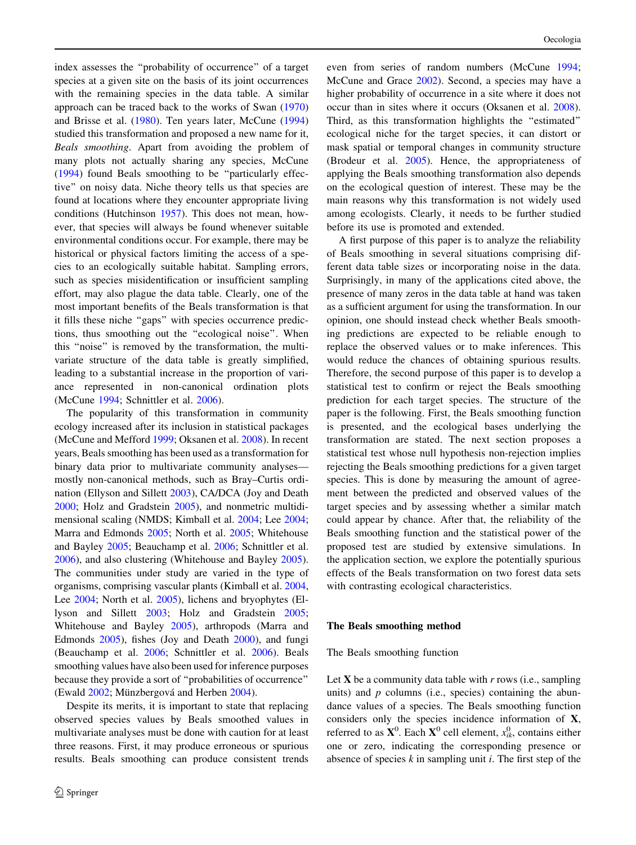index assesses the ''probability of occurrence'' of a target species at a given site on the basis of its joint occurrences with the remaining species in the data table. A similar approach can be traced back to the works of Swan ([1970\)](#page-12-0) and Brisse et al. [\(1980](#page-11-0)). Ten years later, McCune ([1994\)](#page-12-0) studied this transformation and proposed a new name for it, Beals smoothing. Apart from avoiding the problem of many plots not actually sharing any species, McCune [\(1994](#page-12-0)) found Beals smoothing to be ''particularly effective'' on noisy data. Niche theory tells us that species are found at locations where they encounter appropriate living conditions (Hutchinson [1957\)](#page-12-0). This does not mean, however, that species will always be found whenever suitable environmental conditions occur. For example, there may be historical or physical factors limiting the access of a species to an ecologically suitable habitat. Sampling errors, such as species misidentification or insufficient sampling effort, may also plague the data table. Clearly, one of the most important benefits of the Beals transformation is that it fills these niche ''gaps'' with species occurrence predictions, thus smoothing out the ''ecological noise''. When this ''noise'' is removed by the transformation, the multivariate structure of the data table is greatly simplified, leading to a substantial increase in the proportion of variance represented in non-canonical ordination plots (McCune [1994](#page-12-0); Schnittler et al. [2006](#page-12-0)).

The popularity of this transformation in community ecology increased after its inclusion in statistical packages (McCune and Mefford [1999;](#page-12-0) Oksanen et al. [2008](#page-12-0)). In recent years, Beals smoothing has been used as a transformation for binary data prior to multivariate community analyses mostly non-canonical methods, such as Bray–Curtis ordination (Ellyson and Sillett [2003](#page-11-0)), CA/DCA (Joy and Death [2000;](#page-12-0) Holz and Gradstein [2005](#page-12-0)), and nonmetric multidimensional scaling (NMDS; Kimball et al. [2004;](#page-12-0) Lee [2004](#page-12-0); Marra and Edmonds [2005](#page-12-0); North et al. [2005](#page-12-0); Whitehouse and Bayley [2005](#page-12-0); Beauchamp et al. [2006;](#page-11-0) Schnittler et al. [2006\)](#page-12-0), and also clustering (Whitehouse and Bayley [2005](#page-12-0)). The communities under study are varied in the type of organisms, comprising vascular plants (Kimball et al. [2004,](#page-12-0) Lee [2004;](#page-12-0) North et al. [2005\)](#page-12-0), lichens and bryophytes (Ellyson and Sillett [2003;](#page-11-0) Holz and Gradstein [2005](#page-12-0); Whitehouse and Bayley [2005](#page-12-0)), arthropods (Marra and Edmonds [2005](#page-12-0)), fishes (Joy and Death [2000](#page-12-0)), and fungi (Beauchamp et al. [2006](#page-11-0); Schnittler et al. [2006\)](#page-12-0). Beals smoothing values have also been used for inference purposes because they provide a sort of ''probabilities of occurrence'' (Ewald [2002;](#page-11-0) Münzbergová and Herben [2004\)](#page-12-0).

Despite its merits, it is important to state that replacing observed species values by Beals smoothed values in multivariate analyses must be done with caution for at least three reasons. First, it may produce erroneous or spurious results. Beals smoothing can produce consistent trends even from series of random numbers (McCune [1994](#page-12-0); McCune and Grace [2002](#page-12-0)). Second, a species may have a higher probability of occurrence in a site where it does not occur than in sites where it occurs (Oksanen et al. [2008](#page-12-0)). Third, as this transformation highlights the ''estimated'' ecological niche for the target species, it can distort or mask spatial or temporal changes in community structure (Brodeur et al. [2005\)](#page-11-0). Hence, the appropriateness of applying the Beals smoothing transformation also depends on the ecological question of interest. These may be the main reasons why this transformation is not widely used among ecologists. Clearly, it needs to be further studied before its use is promoted and extended.

A first purpose of this paper is to analyze the reliability of Beals smoothing in several situations comprising different data table sizes or incorporating noise in the data. Surprisingly, in many of the applications cited above, the presence of many zeros in the data table at hand was taken as a sufficient argument for using the transformation. In our opinion, one should instead check whether Beals smoothing predictions are expected to be reliable enough to replace the observed values or to make inferences. This would reduce the chances of obtaining spurious results. Therefore, the second purpose of this paper is to develop a statistical test to confirm or reject the Beals smoothing prediction for each target species. The structure of the paper is the following. First, the Beals smoothing function is presented, and the ecological bases underlying the transformation are stated. The next section proposes a statistical test whose null hypothesis non-rejection implies rejecting the Beals smoothing predictions for a given target species. This is done by measuring the amount of agreement between the predicted and observed values of the target species and by assessing whether a similar match could appear by chance. After that, the reliability of the Beals smoothing function and the statistical power of the proposed test are studied by extensive simulations. In the application section, we explore the potentially spurious effects of the Beals transformation on two forest data sets with contrasting ecological characteristics.

#### The Beals smoothing method

#### The Beals smoothing function

Let **X** be a community data table with  $r$  rows (i.e., sampling units) and  $p$  columns (i.e., species) containing the abundance values of a species. The Beals smoothing function considers only the species incidence information of X, referred to as  $X^0$ . Each  $X^0$  cell element,  $x_{ik}^0$ , contains either one or zero, indicating the corresponding presence or absence of species  $k$  in sampling unit  $i$ . The first step of the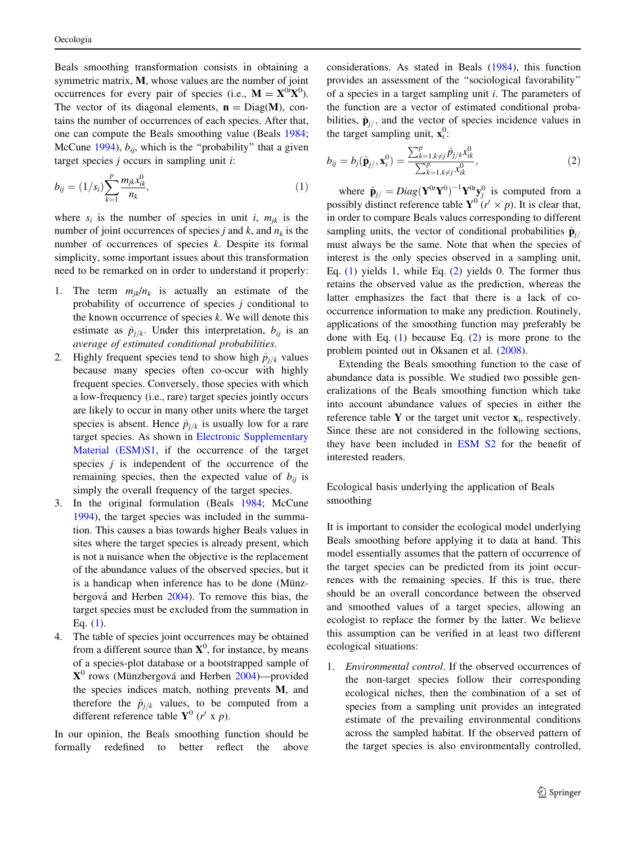<span id="page-2-0"></span>Beals smoothing transformation consists in obtaining a symmetric matrix, M, whose values are the number of joint occurrences for every pair of species (i.e.,  $\mathbf{M} = \mathbf{X}^{0t} \mathbf{X}^{0}$ ). The vector of its diagonal elements,  $n = Diag(M)$ , contains the number of occurrences of each species. After that, one can compute the Beals smoothing value (Beals [1984](#page-11-0); McCune [1994](#page-12-0)),  $b_{ii}$ , which is the "probability" that a given target species  $j$  occurs in sampling unit  $i$ :

$$
b_{ij} = (1/s_i) \sum_{k=1}^{p} \frac{m_{jk} x_{ik}^0}{n_k},
$$
\n(1)

where  $s_i$  is the number of species in unit i,  $m_{jk}$  is the number of joint occurrences of species j and  $k$ , and  $n_k$  is the number of occurrences of species k. Despite its formal simplicity, some important issues about this transformation need to be remarked on in order to understand it properly:

- 1. The term  $m_{jk}/n_k$  is actually an estimate of the probability of occurrence of species  $j$  conditional to the known occurrence of species  $k$ . We will denote this estimate as  $\hat{p}_{i/k}$ . Under this interpretation,  $b_{ij}$  is an average of estimated conditional probabilities.
- 2. Highly frequent species tend to show high  $\hat{p}_{i/k}$  values because many species often co-occur with highly frequent species. Conversely, those species with which a low-frequency (i.e., rare) target species jointly occurs are likely to occur in many other units where the target species is absent. Hence  $\hat{p}_{i/k}$  is usually low for a rare target species. As shown in Electronic Supplementary Material (ESM)S1, if the occurrence of the target species  $j$  is independent of the occurrence of the remaining species, then the expected value of  $b_{ij}$  is simply the overall frequency of the target species.
- 3. In the original formulation (Beals [1984](#page-11-0); McCune [1994](#page-12-0)), the target species was included in the summation. This causes a bias towards higher Beals values in sites where the target species is already present, which is not a nuisance when the objective is the replacement of the abundance values of the observed species, but it is a handicap when inference has to be done (Münz-bergová and Herben [2004\)](#page-12-0). To remove this bias, the target species must be excluded from the summation in Eq. (1).
- 4. The table of species joint occurrences may be obtained from a different source than  $X^0$ , for instance, by means of a species-plot database or a bootstrapped sample of  $X^0$  rows (Münzbergová and Herben [2004](#page-12-0))—provided the species indices match, nothing prevents M, and therefore the  $\hat{p}_{j/k}$  values, to be computed from a different reference table  $Y^0$  ( $r' \times p$ ).

In our opinion, the Beals smoothing function should be formally redefined to better reflect the above

considerations. As stated in Beals [\(1984](#page-11-0)), this function provides an assessment of the ''sociological favorability'' of a species in a target sampling unit  $i$ . The parameters of the function are a vector of estimated conditional probabilities,  $\hat{\mathbf{p}}_{i/2}$ , and the vector of species incidence values in the target sampling unit,  $\mathbf{x}_i^0$ :

$$
b_{ij} = b_j(\hat{\mathbf{p}}_{j/}, \mathbf{x}_i^0) = \frac{\sum_{k=1, k \neq j}^p \hat{p}_{j/k} x_{ik}^0}{\sum_{k=1, k \neq j}^p x_{ik}^0},
$$
(2)

where  $\hat{\mathbf{p}}_{j} = Diag(\mathbf{Y}^{0t}\mathbf{Y}^{0})^{-1}\mathbf{Y}^{0t}\mathbf{y}_{j}^{0}$  is computed from a possibly distinct reference table  ${\bf Y}^0$  ( $r' \times p$ ). It is clear that, in order to compare Beals values corresponding to different sampling units, the vector of conditional probabilities  $\hat{\mathbf{p}}_{i\ell}$ must always be the same. Note that when the species of interest is the only species observed in a sampling unit, Eq. (1) yields 1, while Eq. (2) yields 0. The former thus retains the observed value as the prediction, whereas the latter emphasizes the fact that there is a lack of cooccurrence information to make any prediction. Routinely, applications of the smoothing function may preferably be done with Eq.  $(1)$  because Eq.  $(2)$  is more prone to the problem pointed out in Oksanen et al. ([2008\)](#page-12-0).

Extending the Beals smoothing function to the case of abundance data is possible. We studied two possible generalizations of the Beals smoothing function which take into account abundance values of species in either the reference table Y or the target unit vector  $x_i$ , respectively. Since these are not considered in the following sections, they have been included in ESM S2 for the benefit of interested readers.

Ecological basis underlying the application of Beals smoothing

It is important to consider the ecological model underlying Beals smoothing before applying it to data at hand. This model essentially assumes that the pattern of occurrence of the target species can be predicted from its joint occurrences with the remaining species. If this is true, there should be an overall concordance between the observed and smoothed values of a target species, allowing an ecologist to replace the former by the latter. We believe this assumption can be verified in at least two different ecological situations:

1. Environmental control. If the observed occurrences of the non-target species follow their corresponding ecological niches, then the combination of a set of species from a sampling unit provides an integrated estimate of the prevailing environmental conditions across the sampled habitat. If the observed pattern of the target species is also environmentally controlled,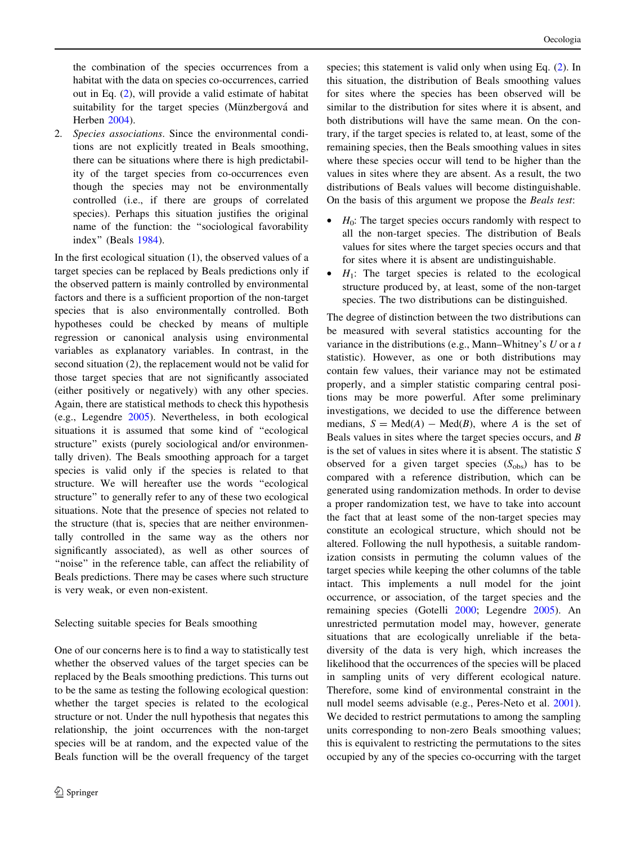the combination of the species occurrences from a habitat with the data on species co-occurrences, carried out in Eq. ([2\)](#page-2-0), will provide a valid estimate of habitat suitability for the target species (Münzbergová and Herben [2004](#page-12-0)).

2. Species associations. Since the environmental conditions are not explicitly treated in Beals smoothing, there can be situations where there is high predictability of the target species from co-occurrences even though the species may not be environmentally controlled (i.e., if there are groups of correlated species). Perhaps this situation justifies the original name of the function: the ''sociological favorability index'' (Beals [1984](#page-11-0)).

In the first ecological situation (1), the observed values of a target species can be replaced by Beals predictions only if the observed pattern is mainly controlled by environmental factors and there is a sufficient proportion of the non-target species that is also environmentally controlled. Both hypotheses could be checked by means of multiple regression or canonical analysis using environmental variables as explanatory variables. In contrast, in the second situation (2), the replacement would not be valid for those target species that are not significantly associated (either positively or negatively) with any other species. Again, there are statistical methods to check this hypothesis (e.g., Legendre [2005](#page-12-0)). Nevertheless, in both ecological situations it is assumed that some kind of ''ecological structure'' exists (purely sociological and/or environmentally driven). The Beals smoothing approach for a target species is valid only if the species is related to that structure. We will hereafter use the words ''ecological structure'' to generally refer to any of these two ecological situations. Note that the presence of species not related to the structure (that is, species that are neither environmentally controlled in the same way as the others nor significantly associated), as well as other sources of "noise" in the reference table, can affect the reliability of Beals predictions. There may be cases where such structure is very weak, or even non-existent.

### Selecting suitable species for Beals smoothing

One of our concerns here is to find a way to statistically test whether the observed values of the target species can be replaced by the Beals smoothing predictions. This turns out to be the same as testing the following ecological question: whether the target species is related to the ecological structure or not. Under the null hypothesis that negates this relationship, the joint occurrences with the non-target species will be at random, and the expected value of the Beals function will be the overall frequency of the target species; this statement is valid only when using Eq. [\(2](#page-2-0)). In this situation, the distribution of Beals smoothing values for sites where the species has been observed will be similar to the distribution for sites where it is absent, and both distributions will have the same mean. On the contrary, if the target species is related to, at least, some of the remaining species, then the Beals smoothing values in sites where these species occur will tend to be higher than the values in sites where they are absent. As a result, the two distributions of Beals values will become distinguishable. On the basis of this argument we propose the Beals test:

- $H_0$ : The target species occurs randomly with respect to all the non-target species. The distribution of Beals values for sites where the target species occurs and that for sites where it is absent are undistinguishable.
- $H_1$ : The target species is related to the ecological structure produced by, at least, some of the non-target species. The two distributions can be distinguished.

The degree of distinction between the two distributions can be measured with several statistics accounting for the variance in the distributions (e.g., Mann–Whitney's  $U$  or a  $t$ statistic). However, as one or both distributions may contain few values, their variance may not be estimated properly, and a simpler statistic comparing central positions may be more powerful. After some preliminary investigations, we decided to use the difference between medians,  $S = Med(A) - Med(B)$ , where A is the set of Beals values in sites where the target species occurs, and B is the set of values in sites where it is absent. The statistic S observed for a given target species  $(S_{obs})$  has to be compared with a reference distribution, which can be generated using randomization methods. In order to devise a proper randomization test, we have to take into account the fact that at least some of the non-target species may constitute an ecological structure, which should not be altered. Following the null hypothesis, a suitable randomization consists in permuting the column values of the target species while keeping the other columns of the table intact. This implements a null model for the joint occurrence, or association, of the target species and the remaining species (Gotelli [2000](#page-11-0); Legendre [2005\)](#page-12-0). An unrestricted permutation model may, however, generate situations that are ecologically unreliable if the betadiversity of the data is very high, which increases the likelihood that the occurrences of the species will be placed in sampling units of very different ecological nature. Therefore, some kind of environmental constraint in the null model seems advisable (e.g., Peres-Neto et al. [2001](#page-12-0)). We decided to restrict permutations to among the sampling units corresponding to non-zero Beals smoothing values; this is equivalent to restricting the permutations to the sites occupied by any of the species co-occurring with the target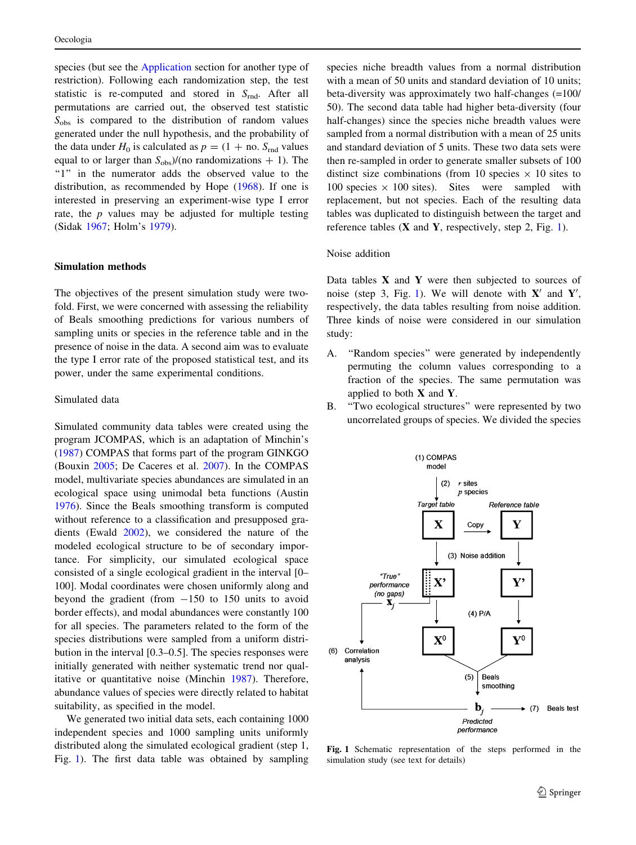<span id="page-4-0"></span>species (but see the [Application](#page-8-0) section for another type of restriction). Following each randomization step, the test statistic is re-computed and stored in  $S_{\text{rnd}}$ . After all permutations are carried out, the observed test statistic  $S<sub>obs</sub>$  is compared to the distribution of random values generated under the null hypothesis, and the probability of the data under  $H_0$  is calculated as  $p = (1 + \text{no. } S_{\text{rnd}})$  values equal to or larger than  $S_{obs}$ /(no randomizations + 1). The "1" in the numerator adds the observed value to the distribution, as recommended by Hope [\(1968](#page-12-0)). If one is interested in preserving an experiment-wise type I error rate, the p values may be adjusted for multiple testing (Sidak [1967](#page-12-0); Holm's [1979\)](#page-12-0).

#### Simulation methods

The objectives of the present simulation study were twofold. First, we were concerned with assessing the reliability of Beals smoothing predictions for various numbers of sampling units or species in the reference table and in the presence of noise in the data. A second aim was to evaluate the type I error rate of the proposed statistical test, and its power, under the same experimental conditions.

#### Simulated data

Simulated community data tables were created using the program JCOMPAS, which is an adaptation of Minchin's [\(1987](#page-12-0)) COMPAS that forms part of the program GINKGO (Bouxin [2005;](#page-11-0) De Caceres et al. [2007](#page-11-0)). In the COMPAS model, multivariate species abundances are simulated in an ecological space using unimodal beta functions (Austin [1976\)](#page-11-0). Since the Beals smoothing transform is computed without reference to a classification and presupposed gradients (Ewald [2002](#page-11-0)), we considered the nature of the modeled ecological structure to be of secondary importance. For simplicity, our simulated ecological space consisted of a single ecological gradient in the interval [0– 100]. Modal coordinates were chosen uniformly along and beyond the gradient (from  $-150$  to 150 units to avoid border effects), and modal abundances were constantly 100 for all species. The parameters related to the form of the species distributions were sampled from a uniform distribution in the interval [0.3–0.5]. The species responses were initially generated with neither systematic trend nor qualitative or quantitative noise (Minchin [1987](#page-12-0)). Therefore, abundance values of species were directly related to habitat suitability, as specified in the model.

We generated two initial data sets, each containing 1000 independent species and 1000 sampling units uniformly distributed along the simulated ecological gradient (step 1, Fig. 1). The first data table was obtained by sampling species niche breadth values from a normal distribution with a mean of 50 units and standard deviation of 10 units; beta-diversity was approximately two half-changes (=100/ 50). The second data table had higher beta-diversity (four half-changes) since the species niche breadth values were sampled from a normal distribution with a mean of 25 units and standard deviation of 5 units. These two data sets were then re-sampled in order to generate smaller subsets of 100 distinct size combinations (from 10 species  $\times$  10 sites to 100 species  $\times$  100 sites). Sites were sampled with replacement, but not species. Each of the resulting data tables was duplicated to distinguish between the target and reference tables  $(X \text{ and } Y, \text{ respectively, step } 2, \text{ Fig. 1}).$ 

#### Noise addition

Data tables  $X$  and  $Y$  were then subjected to sources of noise (step 3, Fig. 1). We will denote with  $X'$  and  $Y'$ , respectively, the data tables resulting from noise addition. Three kinds of noise were considered in our simulation study:

- A. ''Random species'' were generated by independently permuting the column values corresponding to a fraction of the species. The same permutation was applied to both  $X$  and  $Y$ .
- B. ''Two ecological structures'' were represented by two uncorrelated groups of species. We divided the species



Fig. 1 Schematic representation of the steps performed in the simulation study (see text for details)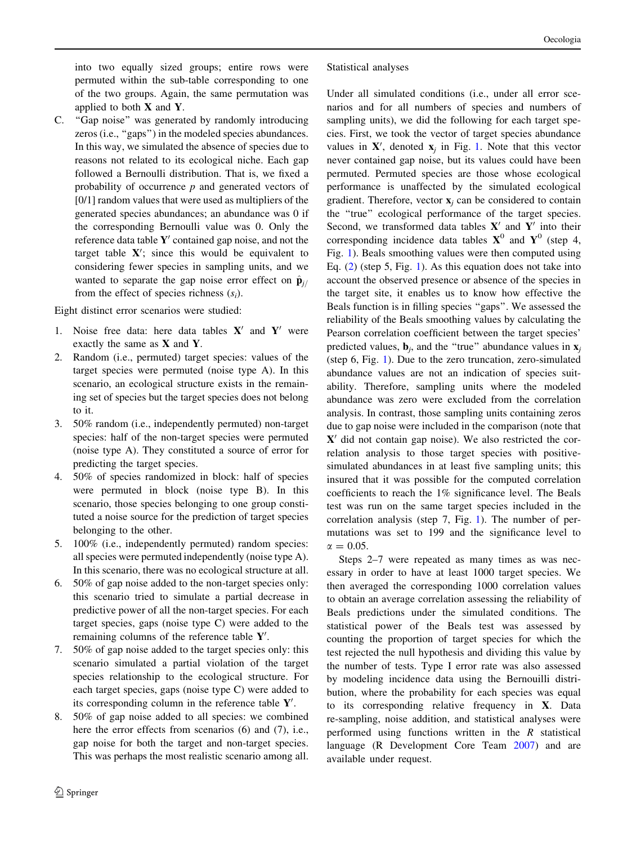into two equally sized groups; entire rows were permuted within the sub-table corresponding to one of the two groups. Again, the same permutation was applied to both  $X$  and  $Y$ .

C. ''Gap noise'' was generated by randomly introducing zeros (i.e., "gaps") in the modeled species abundances. In this way, we simulated the absence of species due to reasons not related to its ecological niche. Each gap followed a Bernoulli distribution. That is, we fixed a probability of occurrence  $p$  and generated vectors of [0/1] random values that were used as multipliers of the generated species abundances; an abundance was 0 if the corresponding Bernoulli value was 0. Only the reference data table  $Y'$  contained gap noise, and not the target table  $X'$ ; since this would be equivalent to considering fewer species in sampling units, and we wanted to separate the gap noise error effect on  $\hat{\mathbf{p}}_{i}$ from the effect of species richness  $(s_i)$ .

Eight distinct error scenarios were studied:

- 1. Noise free data: here data tables  $X'$  and  $Y'$  were exactly the same as X and Y.
- 2. Random (i.e., permuted) target species: values of the target species were permuted (noise type A). In this scenario, an ecological structure exists in the remaining set of species but the target species does not belong to it.
- 3. 50% random (i.e., independently permuted) non-target species: half of the non-target species were permuted (noise type A). They constituted a source of error for predicting the target species.
- 4. 50% of species randomized in block: half of species were permuted in block (noise type B). In this scenario, those species belonging to one group constituted a noise source for the prediction of target species belonging to the other.
- 5. 100% (i.e., independently permuted) random species: all species were permuted independently (noise type A). In this scenario, there was no ecological structure at all.
- 6. 50% of gap noise added to the non-target species only: this scenario tried to simulate a partial decrease in predictive power of all the non-target species. For each target species, gaps (noise type C) were added to the remaining columns of the reference table  $Y'$ .
- 7. 50% of gap noise added to the target species only: this scenario simulated a partial violation of the target species relationship to the ecological structure. For each target species, gaps (noise type C) were added to its corresponding column in the reference table  $Y'$ .
- 8. 50% of gap noise added to all species: we combined here the error effects from scenarios (6) and (7), i.e., gap noise for both the target and non-target species. This was perhaps the most realistic scenario among all.

#### Statistical analyses

Under all simulated conditions (i.e., under all error scenarios and for all numbers of species and numbers of sampling units), we did the following for each target species. First, we took the vector of target species abundance values in  $X'$ , denoted  $x_j$  in Fig. [1.](#page-4-0) Note that this vector never contained gap noise, but its values could have been permuted. Permuted species are those whose ecological performance is unaffected by the simulated ecological gradient. Therefore, vector  $\mathbf{x}_i$  can be considered to contain the ''true'' ecological performance of the target species. Second, we transformed data tables  $X'$  and  $Y'$  into their corresponding incidence data tables  $X^0$  and  $Y^0$  (step 4, Fig. [1](#page-4-0)). Beals smoothing values were then computed using Eq. [\(2](#page-2-0)) (step 5, Fig. [1\)](#page-4-0). As this equation does not take into account the observed presence or absence of the species in the target site, it enables us to know how effective the Beals function is in filling species ''gaps''. We assessed the reliability of the Beals smoothing values by calculating the Pearson correlation coefficient between the target species' predicted values,  $\mathbf{b}_i$ , and the "true" abundance values in  $\mathbf{x}_i$ (step 6, Fig. [1](#page-4-0)). Due to the zero truncation, zero-simulated abundance values are not an indication of species suitability. Therefore, sampling units where the modeled abundance was zero were excluded from the correlation analysis. In contrast, those sampling units containing zeros due to gap noise were included in the comparison (note that  $X'$  did not contain gap noise). We also restricted the correlation analysis to those target species with positivesimulated abundances in at least five sampling units; this insured that it was possible for the computed correlation coefficients to reach the 1% significance level. The Beals test was run on the same target species included in the correlation analysis (step 7, Fig. [1](#page-4-0)). The number of permutations was set to 199 and the significance level to  $\alpha = 0.05$ .

Steps 2–7 were repeated as many times as was necessary in order to have at least 1000 target species. We then averaged the corresponding 1000 correlation values to obtain an average correlation assessing the reliability of Beals predictions under the simulated conditions. The statistical power of the Beals test was assessed by counting the proportion of target species for which the test rejected the null hypothesis and dividing this value by the number of tests. Type I error rate was also assessed by modeling incidence data using the Bernouilli distribution, where the probability for each species was equal to its corresponding relative frequency in X. Data re-sampling, noise addition, and statistical analyses were performed using functions written in the  $R$  statistical language (R Development Core Team [2007](#page-12-0)) and are available under request.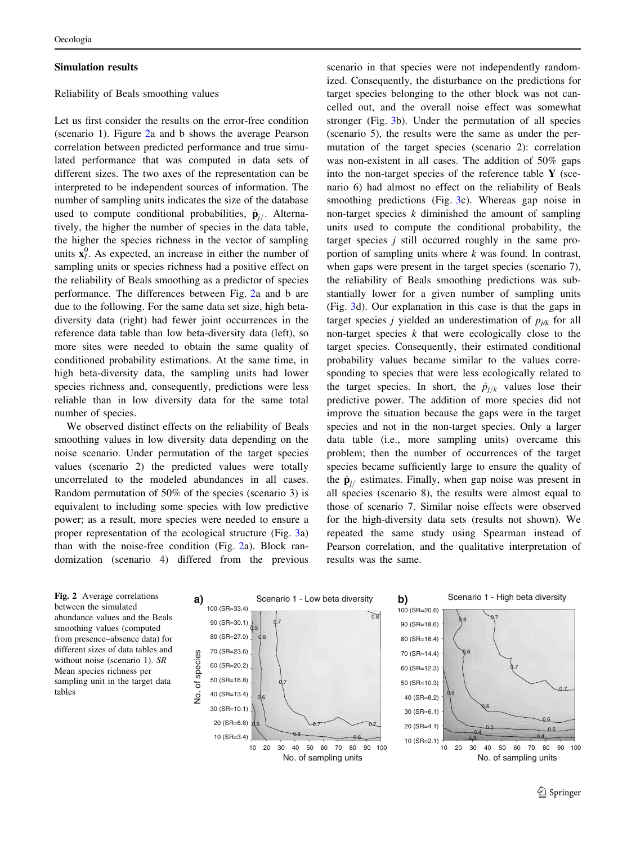#### <span id="page-6-0"></span>Simulation results

#### Reliability of Beals smoothing values

Let us first consider the results on the error-free condition (scenario 1). Figure 2a and b shows the average Pearson correlation between predicted performance and true simulated performance that was computed in data sets of different sizes. The two axes of the representation can be interpreted to be independent sources of information. The number of sampling units indicates the size of the database used to compute conditional probabilities,  $\hat{\mathbf{p}}_{i/}$ . Alternatively, the higher the number of species in the data table, the higher the species richness in the vector of sampling units  $x_l^0$ . As expected, an increase in either the number of sampling units or species richness had a positive effect on the reliability of Beals smoothing as a predictor of species performance. The differences between Fig. 2a and b are due to the following. For the same data set size, high betadiversity data (right) had fewer joint occurrences in the reference data table than low beta-diversity data (left), so more sites were needed to obtain the same quality of conditioned probability estimations. At the same time, in high beta-diversity data, the sampling units had lower species richness and, consequently, predictions were less reliable than in low diversity data for the same total number of species.

We observed distinct effects on the reliability of Beals smoothing values in low diversity data depending on the noise scenario. Under permutation of the target species values (scenario 2) the predicted values were totally uncorrelated to the modeled abundances in all cases. Random permutation of 50% of the species (scenario 3) is equivalent to including some species with low predictive power; as a result, more species were needed to ensure a proper representation of the ecological structure (Fig. [3](#page-7-0)a) than with the noise-free condition (Fig. 2a). Block randomization (scenario 4) differed from the previous

scenario in that species were not independently randomized. Consequently, the disturbance on the predictions for target species belonging to the other block was not cancelled out, and the overall noise effect was somewhat stronger (Fig. [3](#page-7-0)b). Under the permutation of all species (scenario 5), the results were the same as under the permutation of the target species (scenario 2): correlation was non-existent in all cases. The addition of 50% gaps into the non-target species of the reference table  $Y$  (scenario 6) had almost no effect on the reliability of Beals smoothing predictions (Fig. [3](#page-7-0)c). Whereas gap noise in non-target species  $k$  diminished the amount of sampling units used to compute the conditional probability, the target species  $j$  still occurred roughly in the same proportion of sampling units where  $k$  was found. In contrast, when gaps were present in the target species (scenario 7), the reliability of Beals smoothing predictions was substantially lower for a given number of sampling units (Fig. [3d](#page-7-0)). Our explanation in this case is that the gaps in target species j yielded an underestimation of  $p_{ijk}$  for all non-target species  $k$  that were ecologically close to the target species. Consequently, their estimated conditional probability values became similar to the values corresponding to species that were less ecologically related to the target species. In short, the  $\hat{p}_{i/k}$  values lose their predictive power. The addition of more species did not improve the situation because the gaps were in the target species and not in the non-target species. Only a larger data table (i.e., more sampling units) overcame this problem; then the number of occurrences of the target species became sufficiently large to ensure the quality of the  $\hat{\mathbf{p}}_{i}$  estimates. Finally, when gap noise was present in all species (scenario 8), the results were almost equal to those of scenario 7. Similar noise effects were observed for the high-diversity data sets (results not shown). We repeated the same study using Spearman instead of Pearson correlation, and the qualitative interpretation of results was the same.

between the simulated abundance values and the Beals smoothing values (computed from presence–absence data) for different sizes of data tables and without noise (scenario 1). SR Mean species richness per sampling unit in the target data tables



0.7

0.6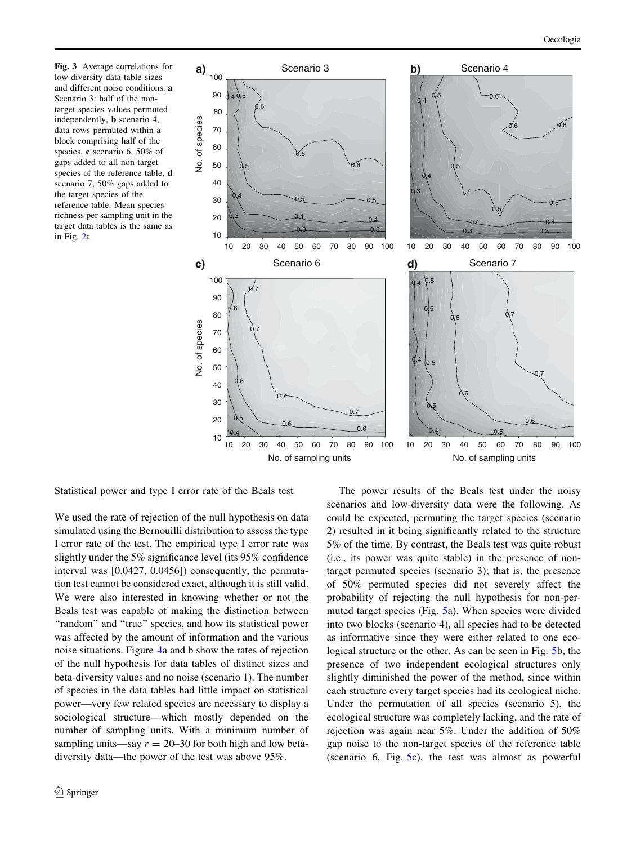<span id="page-7-0"></span>Fig. 3 Average correlations for low-diversity data table sizes and different noise conditions. a Scenario 3: half of the nontarget species values permuted independently, b scenario 4, data rows permuted within a block comprising half of the species, c scenario 6, 50% of gaps added to all non-target species of the reference table, d scenario 7, 50% gaps added to the target species of the reference table. Mean species richness per sampling unit in the target data tables is the same as in Fig. [2a](#page-6-0)



Statistical power and type I error rate of the Beals test

We used the rate of rejection of the null hypothesis on data simulated using the Bernouilli distribution to assess the type I error rate of the test. The empirical type I error rate was slightly under the 5% significance level (its 95% confidence interval was [0.0427, 0.0456]) consequently, the permutation test cannot be considered exact, although it is still valid. We were also interested in knowing whether or not the Beals test was capable of making the distinction between "random" and "true" species, and how its statistical power was affected by the amount of information and the various noise situations. Figure [4](#page-8-0)a and b show the rates of rejection of the null hypothesis for data tables of distinct sizes and beta-diversity values and no noise (scenario 1). The number of species in the data tables had little impact on statistical power—very few related species are necessary to display a sociological structure—which mostly depended on the number of sampling units. With a minimum number of sampling units—say  $r = 20-30$  for both high and low betadiversity data—the power of the test was above 95%.

The power results of the Beals test under the noisy scenarios and low-diversity data were the following. As could be expected, permuting the target species (scenario 2) resulted in it being significantly related to the structure 5% of the time. By contrast, the Beals test was quite robust (i.e., its power was quite stable) in the presence of nontarget permuted species (scenario 3); that is, the presence of 50% permuted species did not severely affect the probability of rejecting the null hypothesis for non-permuted target species (Fig. [5a](#page-9-0)). When species were divided into two blocks (scenario 4), all species had to be detected as informative since they were either related to one ecological structure or the other. As can be seen in Fig. [5b](#page-9-0), the presence of two independent ecological structures only slightly diminished the power of the method, since within each structure every target species had its ecological niche. Under the permutation of all species (scenario 5), the ecological structure was completely lacking, and the rate of rejection was again near 5%. Under the addition of 50% gap noise to the non-target species of the reference table (scenario 6, Fig. [5](#page-9-0)c), the test was almost as powerful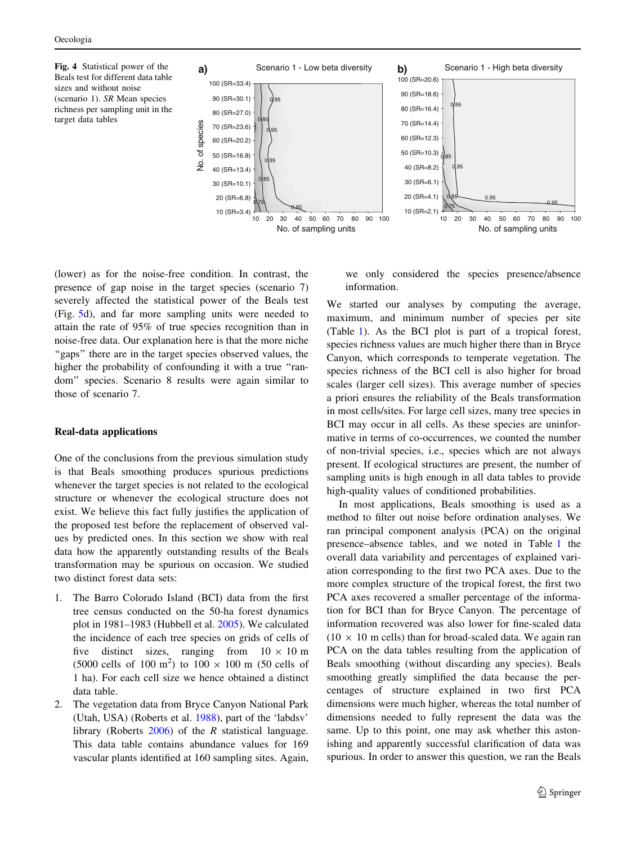Beals test for different data table sizes and without noise (scenario 1). SR Mean species richness per sampling unit in the target data tables

<span id="page-8-0"></span>

(lower) as for the noise-free condition. In contrast, the presence of gap noise in the target species (scenario 7) severely affected the statistical power of the Beals test (Fig. [5](#page-9-0)d), and far more sampling units were needed to attain the rate of 95% of true species recognition than in noise-free data. Our explanation here is that the more niche "gaps" there are in the target species observed values, the higher the probability of confounding it with a true "random'' species. Scenario 8 results were again similar to those of scenario 7.

#### Real-data applications

One of the conclusions from the previous simulation study is that Beals smoothing produces spurious predictions whenever the target species is not related to the ecological structure or whenever the ecological structure does not exist. We believe this fact fully justifies the application of the proposed test before the replacement of observed values by predicted ones. In this section we show with real data how the apparently outstanding results of the Beals transformation may be spurious on occasion. We studied two distinct forest data sets:

- 1. The Barro Colorado Island (BCI) data from the first tree census conducted on the 50-ha forest dynamics plot in 1981–1983 (Hubbell et al. [2005\)](#page-12-0). We calculated the incidence of each tree species on grids of cells of five distinct sizes, ranging from  $10 \times 10$  m  $(5000 \text{ cells of } 100 \text{ m}^2)$  to  $100 \times 100 \text{ m}$  (50 cells of 1 ha). For each cell size we hence obtained a distinct data table.
- 2. The vegetation data from Bryce Canyon National Park (Utah, USA) (Roberts et al. [1988\)](#page-12-0), part of the 'labdsv' library (Roberts  $2006$ ) of the R statistical language. This data table contains abundance values for 169 vascular plants identified at 160 sampling sites. Again,

we only considered the species presence/absence information.

We started our analyses by computing the average, maximum, and minimum number of species per site (Table [1\)](#page-10-0). As the BCI plot is part of a tropical forest, species richness values are much higher there than in Bryce Canyon, which corresponds to temperate vegetation. The species richness of the BCI cell is also higher for broad scales (larger cell sizes). This average number of species a priori ensures the reliability of the Beals transformation in most cells/sites. For large cell sizes, many tree species in BCI may occur in all cells. As these species are uninformative in terms of co-occurrences, we counted the number of non-trivial species, i.e., species which are not always present. If ecological structures are present, the number of sampling units is high enough in all data tables to provide high-quality values of conditioned probabilities.

In most applications, Beals smoothing is used as a method to filter out noise before ordination analyses. We ran principal component analysis (PCA) on the original presence–absence tables, and we noted in Table [1](#page-10-0) the overall data variability and percentages of explained variation corresponding to the first two PCA axes. Due to the more complex structure of the tropical forest, the first two PCA axes recovered a smaller percentage of the information for BCI than for Bryce Canyon. The percentage of information recovered was also lower for fine-scaled data  $(10 \times 10 \text{ m}$  cells) than for broad-scaled data. We again ran PCA on the data tables resulting from the application of Beals smoothing (without discarding any species). Beals smoothing greatly simplified the data because the percentages of structure explained in two first PCA dimensions were much higher, whereas the total number of dimensions needed to fully represent the data was the same. Up to this point, one may ask whether this astonishing and apparently successful clarification of data was spurious. In order to answer this question, we ran the Beals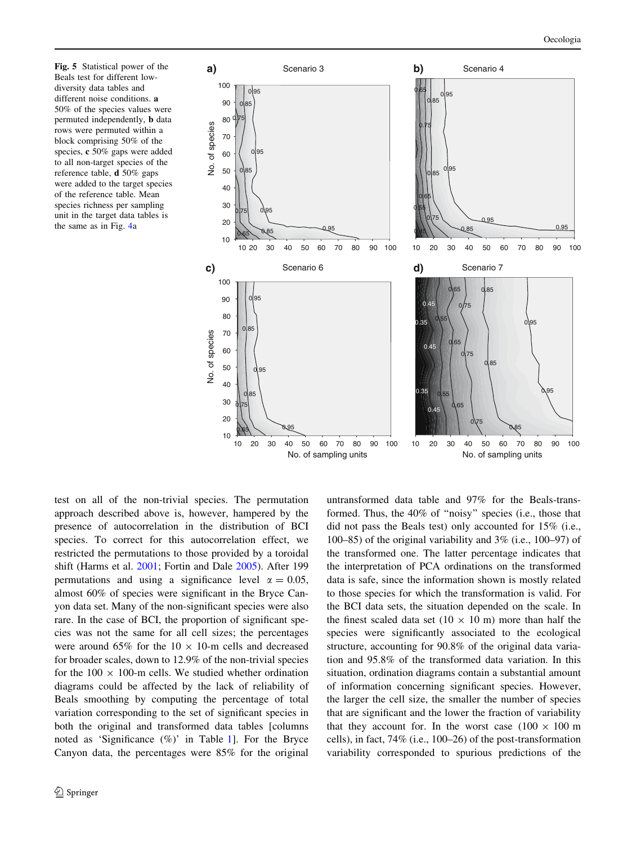<span id="page-9-0"></span>Fig. 5 Statistical power of the Beals test for different lowdiversity data tables and different noise conditions. a 50% of the species values were permuted independently, b data rows were permuted within a block comprising 50% of the species, c 50% gaps were added to all non-target species of the reference table, d 50% gaps were added to the target species of the reference table. Mean species richness per sampling unit in the target data tables is the same as in Fig. [4](#page-8-0)a



test on all of the non-trivial species. The permutation approach described above is, however, hampered by the presence of autocorrelation in the distribution of BCI species. To correct for this autocorrelation effect, we restricted the permutations to those provided by a toroidal shift (Harms et al. [2001](#page-12-0); Fortin and Dale [2005](#page-11-0)). After 199 permutations and using a significance level  $\alpha = 0.05$ , almost 60% of species were significant in the Bryce Canyon data set. Many of the non-significant species were also rare. In the case of BCI, the proportion of significant species was not the same for all cell sizes; the percentages were around 65% for the  $10 \times 10$ -m cells and decreased for broader scales, down to 12.9% of the non-trivial species for the  $100 \times 100$ -m cells. We studied whether ordination diagrams could be affected by the lack of reliability of Beals smoothing by computing the percentage of total variation corresponding to the set of significant species in both the original and transformed data tables [columns noted as 'Significance (%)' in Table [1\]](#page-10-0). For the Bryce Canyon data, the percentages were 85% for the original untransformed data table and 97% for the Beals-transformed. Thus, the 40% of ''noisy'' species (i.e., those that did not pass the Beals test) only accounted for 15% (i.e., 100–85) of the original variability and 3% (i.e., 100–97) of the transformed one. The latter percentage indicates that the interpretation of PCA ordinations on the transformed data is safe, since the information shown is mostly related to those species for which the transformation is valid. For the BCI data sets, the situation depended on the scale. In the finest scaled data set ( $10 \times 10$  m) more than half the species were significantly associated to the ecological structure, accounting for 90.8% of the original data variation and 95.8% of the transformed data variation. In this situation, ordination diagrams contain a substantial amount of information concerning significant species. However, the larger the cell size, the smaller the number of species that are significant and the lower the fraction of variability that they account for. In the worst case  $(100 \times 100 \text{ m})$ cells), in fact, 74% (i.e., 100–26) of the post-transformation variability corresponded to spurious predictions of the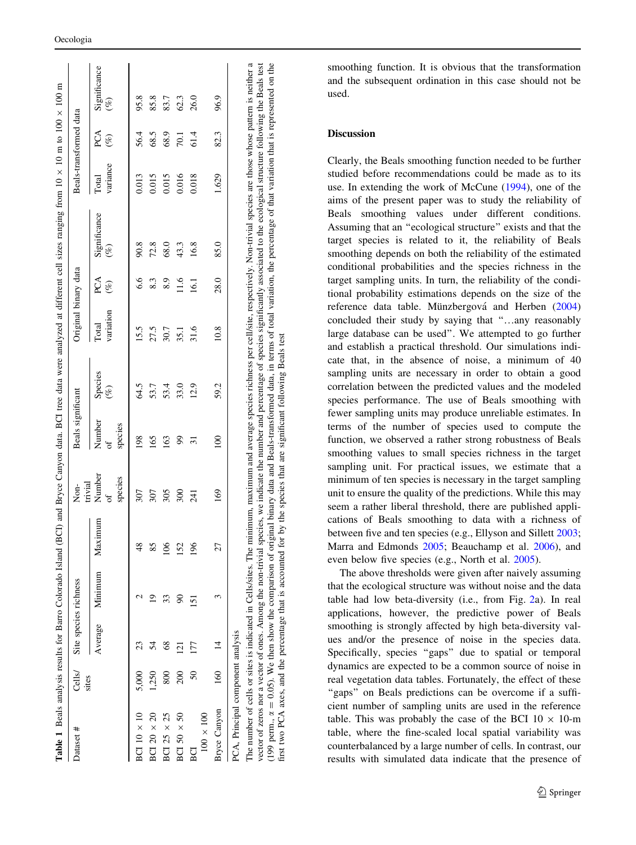<span id="page-10-0"></span>

| Dataset #             | Cells/<br>sites                           | Site species richness |         |                | trivial<br>Non-   | Beals significant       |                   | Original binary data |               |                        | Beals-transformed data |               |                        |
|-----------------------|-------------------------------------------|-----------------------|---------|----------------|-------------------|-------------------------|-------------------|----------------------|---------------|------------------------|------------------------|---------------|------------------------|
|                       |                                           | Average               | Minimum | Maximum        | Number<br>species | Number<br>species<br>of | Species<br>$(\%)$ | variation<br>Total   | PCA<br>$(\%)$ | Significance<br>$(\%)$ | variance<br>Total      | PCA<br>$(\%)$ | Significance<br>$(\%)$ |
| BCI 10 $\times$ 10    |                                           |                       |         | $\frac{8}{3}$  | 307               | 198                     | 64.5              | 15.5                 | 6.6           | 90.8                   | 0.013                  | 56.4          | 95.8                   |
| BCI 20 $\times$ 20    | 1,250                                     | 54                    |         | 85             | 307               | 165                     | 53.7              | 27.5                 | 8.3           | 72.8                   | 0.015                  | 68.5          | 85.8                   |
| BCI 25 $\times$ 25    | $\rm{80}$                                 | $\frac{8}{3}$         | ౫       | $\frac{8}{10}$ | 305               | 163                     | 53.4              | 30.7                 | 8.9           | 68.0                   | 0.015                  | 68.9          | 83.7                   |
| BCI 50 $\times$ 50    | $\begin{array}{c} 8 \ \hline \end{array}$ | $\Xi$                 |         | 52             | 300               | 99                      | 33.0              | 35.1                 | 11.6          | 43.3                   | 0.016                  | 70.1          | 62.3                   |
| $100\times100$<br>БCI |                                           | 177                   | 151     | 196            | 241               | 51                      | 12.9              | 31.6                 | 16.1          | 16.8                   | 0.018                  | 61.4          | 26.0                   |
| Bryce Canyon          | 160                                       | $\overline{4}$        |         | 27             | $^{69}$           | $\overline{0}$          | 59.2              | 10.8                 | 28.0          | 85.0                   | 1.629                  | 82.3          | 96.9                   |

vector of zeros nor a vector of ones. Among the non-trivial species, we indicate the number and percentage of species significantly associated to the ecological structure following the Beals test 199 perm.,  $\alpha = 0.05$ ). We then show the comparison of original binary data and Beals-transformed data, in terms of total variation, the percentage of that variation that is represented on the vector of zeros nor a vector of ones. Among the non-trivial species, we indicate the number and percentage of species significantly associated to the ecological structure following the Beals test (199 perm.,  $\alpha = 0.05$ ). We then show the comparison of original binary data and Beals-transformed data, in terms of total variation, the percentage of that variation that is represented on the first two PCA axes, and the percentage that is accounted for by the species that are significant following Beals test test inst two PCA axes, and the percentage that is accounted for by the species that are significant following Beals

smoothing function. It is obvious that the transformation and the subsequent ordination in this case should not be used.

#### Discussion

Clearly, the Beals smoothing function needed to be further studied before recommendations could be made as to its use. In extending the work of McCune [\(1994](#page-12-0)), one of the aims of the present paper was to study the reliability of Beals smoothing values under different conditions. Assuming that an ''ecological structure'' exists and that the target species is related to it, the reliability of Beals smoothing depends on both the reliability of the estimated conditional probabilities and the species richness in the target sampling units. In turn, the reliability of the conditional probability estimations depends on the size of the reference data table. Münzbergová and Herben ([2004](#page-12-0)) concluded their study by saying that '' …any reasonably large database can be used''. We attempted to go further and establish a practical threshold. Our simulations indicate that, in the absence of noise, a minimum of 40 sampling units are necessary in order to obtain a good correlation between the predicted values and the modeled species performance. The use of Beals smoothing with fewer sampling units may produce unreliable estimates. In terms of the number of species used to compute the function, we observed a rather strong robustness of Beals smoothing values to small species richness in the target sampling unit. For practical issues, we estimate that a minimum of ten species is necessary in the target sampling unit to ensure the quality of the predictions. While this may seem a rather liberal threshold, there are published applications of Beals smoothing to data with a richness of between five and ten species (e.g., Ellyson and Sillett [2003](#page-11-0); Marra and Edmonds [2005;](#page-12-0) Beauchamp et al. [2006\)](#page-11-0), and even below five species (e.g., North et al. [2005](#page-12-0)).

The above thresholds were given after naively assuming that the ecological structure was without noise and the data table had low beta-diversity (i.e., from Fig. [2](#page-6-0)a). In real applications, however, the predictive power of Beals smoothing is strongly affected by high beta-diversity values and/or the presence of noise in the species data. Specifically, species "gaps" due to spatial or temporal dynamics are expected to be a common source of noise in real vegetation data tables. Fortunately, the effect of these "gaps" on Beals predictions can be overcome if a sufficient number of sampling units are used in the reference table. This was probably the case of the BCI  $10 \times 10$ -m table, where the fine-scaled local spatial variability was counterbalanced by a large number of cells. In contrast, our results with simulated data indicate that the presence of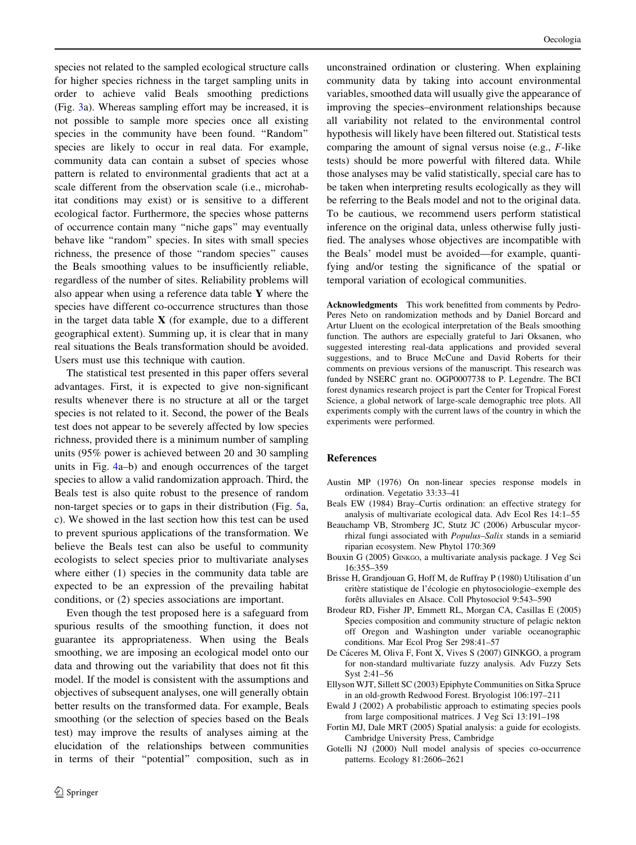<span id="page-11-0"></span>species not related to the sampled ecological structure calls for higher species richness in the target sampling units in order to achieve valid Beals smoothing predictions (Fig. [3](#page-7-0)a). Whereas sampling effort may be increased, it is not possible to sample more species once all existing species in the community have been found. ''Random'' species are likely to occur in real data. For example, community data can contain a subset of species whose pattern is related to environmental gradients that act at a scale different from the observation scale (i.e., microhabitat conditions may exist) or is sensitive to a different ecological factor. Furthermore, the species whose patterns of occurrence contain many ''niche gaps'' may eventually behave like "random" species. In sites with small species richness, the presence of those ''random species'' causes the Beals smoothing values to be insufficiently reliable, regardless of the number of sites. Reliability problems will also appear when using a reference data table  $Y$  where the species have different co-occurrence structures than those in the target data table  $X$  (for example, due to a different geographical extent). Summing up, it is clear that in many real situations the Beals transformation should be avoided. Users must use this technique with caution.

The statistical test presented in this paper offers several advantages. First, it is expected to give non-significant results whenever there is no structure at all or the target species is not related to it. Second, the power of the Beals test does not appear to be severely affected by low species richness, provided there is a minimum number of sampling units (95% power is achieved between 20 and 30 sampling units in Fig. [4a](#page-8-0)–b) and enough occurrences of the target species to allow a valid randomization approach. Third, the Beals test is also quite robust to the presence of random non-target species or to gaps in their distribution (Fig. [5](#page-9-0)a, c). We showed in the last section how this test can be used to prevent spurious applications of the transformation. We believe the Beals test can also be useful to community ecologists to select species prior to multivariate analyses where either (1) species in the community data table are expected to be an expression of the prevailing habitat conditions, or (2) species associations are important.

Even though the test proposed here is a safeguard from spurious results of the smoothing function, it does not guarantee its appropriateness. When using the Beals smoothing, we are imposing an ecological model onto our data and throwing out the variability that does not fit this model. If the model is consistent with the assumptions and objectives of subsequent analyses, one will generally obtain better results on the transformed data. For example, Beals smoothing (or the selection of species based on the Beals test) may improve the results of analyses aiming at the elucidation of the relationships between communities in terms of their ''potential'' composition, such as in

unconstrained ordination or clustering. When explaining community data by taking into account environmental variables, smoothed data will usually give the appearance of improving the species–environment relationships because all variability not related to the environmental control hypothesis will likely have been filtered out. Statistical tests comparing the amount of signal versus noise (e.g., F-like tests) should be more powerful with filtered data. While those analyses may be valid statistically, special care has to be taken when interpreting results ecologically as they will be referring to the Beals model and not to the original data. To be cautious, we recommend users perform statistical inference on the original data, unless otherwise fully justified. The analyses whose objectives are incompatible with the Beals' model must be avoided—for example, quantifying and/or testing the significance of the spatial or temporal variation of ecological communities.

Acknowledgments This work benefitted from comments by Pedro-Peres Neto on randomization methods and by Daniel Borcard and Artur Lluent on the ecological interpretation of the Beals smoothing function. The authors are especially grateful to Jari Oksanen, who suggested interesting real-data applications and provided several suggestions, and to Bruce McCune and David Roberts for their comments on previous versions of the manuscript. This research was funded by NSERC grant no. OGP0007738 to P. Legendre. The BCI forest dynamics research project is part the Center for Tropical Forest Science, a global network of large-scale demographic tree plots. All experiments comply with the current laws of the country in which the experiments were performed.

#### References

- Austin MP (1976) On non-linear species response models in ordination. Vegetatio 33:33–41
- Beals EW (1984) Bray–Curtis ordination: an effective strategy for analysis of multivariate ecological data. Adv Ecol Res 14:1–55
- Beauchamp VB, Stromberg JC, Stutz JC (2006) Arbuscular mycorrhizal fungi associated with Populus–Salix stands in a semiarid riparian ecosystem. New Phytol 170:369
- Bouxin G (2005) GINKGO, a multivariate analysis package. J Veg Sci 16:355–359
- Brisse H, Grandjouan G, Hoff M, de Ruffray P (1980) Utilisation d'un critère statistique de l'écologie en phytosociologie–exemple des forêts alluviales en Alsace. Coll Phytosociol 9:543-590
- Brodeur RD, Fisher JP, Emmett RL, Morgan CA, Casillas E (2005) Species composition and community structure of pelagic nekton off Oregon and Washington under variable oceanographic conditions. Mar Ecol Prog Ser 298:41–57
- De Cáceres M, Oliva F, Font X, Vives S (2007) GINKGO, a program for non-standard multivariate fuzzy analysis. Adv Fuzzy Sets Syst 2:41–56
- Ellyson WJT, Sillett SC (2003) Epiphyte Communities on Sitka Spruce in an old-growth Redwood Forest. Bryologist 106:197–211
- Ewald J (2002) A probabilistic approach to estimating species pools from large compositional matrices. J Veg Sci 13:191–198
- Fortin MJ, Dale MRT (2005) Spatial analysis: a guide for ecologists. Cambridge University Press, Cambridge
- Gotelli NJ (2000) Null model analysis of species co-occurrence patterns. Ecology 81:2606–2621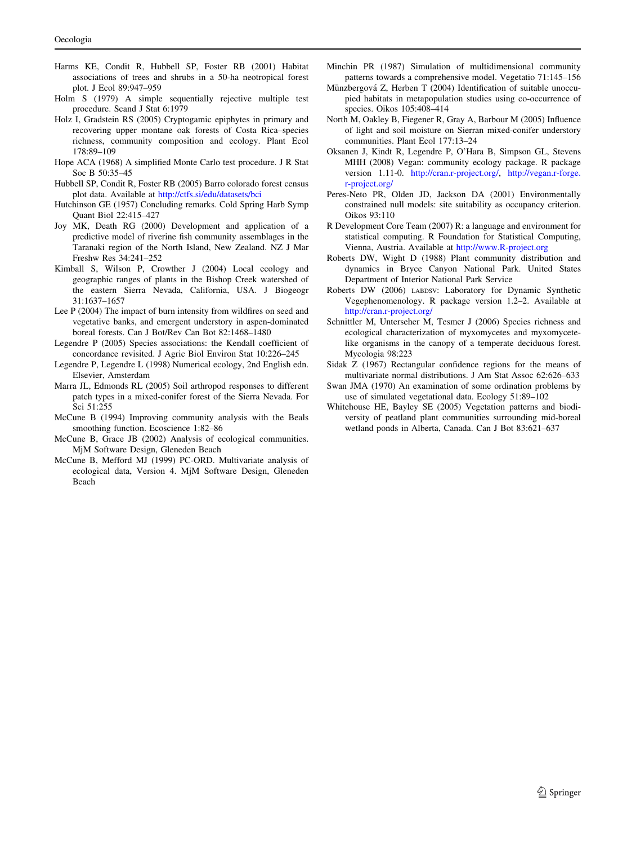- <span id="page-12-0"></span>Harms KE, Condit R, Hubbell SP, Foster RB (2001) Habitat associations of trees and shrubs in a 50-ha neotropical forest plot. J Ecol 89:947–959
- Holm S (1979) A simple sequentially rejective multiple test procedure. Scand J Stat 6:1979
- Holz I, Gradstein RS (2005) Cryptogamic epiphytes in primary and recovering upper montane oak forests of Costa Rica–species richness, community composition and ecology. Plant Ecol 178:89–109
- Hope ACA (1968) A simplified Monte Carlo test procedure. J R Stat Soc B 50:35–45
- Hubbell SP, Condit R, Foster RB (2005) Barro colorado forest census plot data. Available at <http://ctfs.si/edu/datasets/bci>
- Hutchinson GE (1957) Concluding remarks. Cold Spring Harb Symp Quant Biol 22:415–427
- Joy MK, Death RG (2000) Development and application of a predictive model of riverine fish community assemblages in the Taranaki region of the North Island, New Zealand. NZ J Mar Freshw Res 34:241–252
- Kimball S, Wilson P, Crowther J (2004) Local ecology and geographic ranges of plants in the Bishop Creek watershed of the eastern Sierra Nevada, California, USA. J Biogeogr 31:1637–1657
- Lee P (2004) The impact of burn intensity from wildfires on seed and vegetative banks, and emergent understory in aspen-dominated boreal forests. Can J Bot/Rev Can Bot 82:1468–1480
- Legendre P (2005) Species associations: the Kendall coefficient of concordance revisited. J Agric Biol Environ Stat 10:226–245
- Legendre P, Legendre L (1998) Numerical ecology, 2nd English edn. Elsevier, Amsterdam
- Marra JL, Edmonds RL (2005) Soil arthropod responses to different patch types in a mixed-conifer forest of the Sierra Nevada. For Sci 51:255
- McCune B (1994) Improving community analysis with the Beals smoothing function. Ecoscience 1:82–86
- McCune B, Grace JB (2002) Analysis of ecological communities. MjM Software Design, Gleneden Beach
- McCune B, Mefford MJ (1999) PC-ORD. Multivariate analysis of ecological data, Version 4. MjM Software Design, Gleneden Beach
- Minchin PR (1987) Simulation of multidimensional community patterns towards a comprehensive model. Vegetatio 71:145–156
- Münzbergová Z, Herben T (2004) Identification of suitable unoccupied habitats in metapopulation studies using co-occurrence of species. Oikos 105:408–414
- North M, Oakley B, Fiegener R, Gray A, Barbour M (2005) Influence of light and soil moisture on Sierran mixed-conifer understory communities. Plant Ecol 177:13–24
- Oksanen J, Kindt R, Legendre P, O'Hara B, Simpson GL, Stevens MHH (2008) Vegan: community ecology package. R package version 1.11-0. <http://cran.r-project.org/>, [http://vegan.r-forge.](http://vegan.r-forg.r-project) [r-project.org/](http://vegan.r-forg.r-project)
- Peres-Neto PR, Olden JD, Jackson DA (2001) Environmentally constrained null models: site suitability as occupancy criterion. Oikos 93:110
- R Development Core Team (2007) R: a language and environment for statistical computing. R Foundation for Statistical Computing, Vienna, Austria. Available at <http://www.R-project.org>
- Roberts DW, Wight D (1988) Plant community distribution and dynamics in Bryce Canyon National Park. United States Department of Interior National Park Service
- Roberts DW (2006) LABDSV: Laboratory for Dynamic Synthetic Vegephenomenology. R package version 1.2–2. Available at <http://cran.r-project.org/>
- Schnittler M, Unterseher M, Tesmer J (2006) Species richness and ecological characterization of myxomycetes and myxomycetelike organisms in the canopy of a temperate deciduous forest. Mycologia 98:223
- Sidak Z (1967) Rectangular confidence regions for the means of multivariate normal distributions. J Am Stat Assoc 62:626–633
- Swan JMA (1970) An examination of some ordination problems by use of simulated vegetational data. Ecology 51:89–102
- Whitehouse HE, Bayley SE (2005) Vegetation patterns and biodiversity of peatland plant communities surrounding mid-boreal wetland ponds in Alberta, Canada. Can J Bot 83:621–637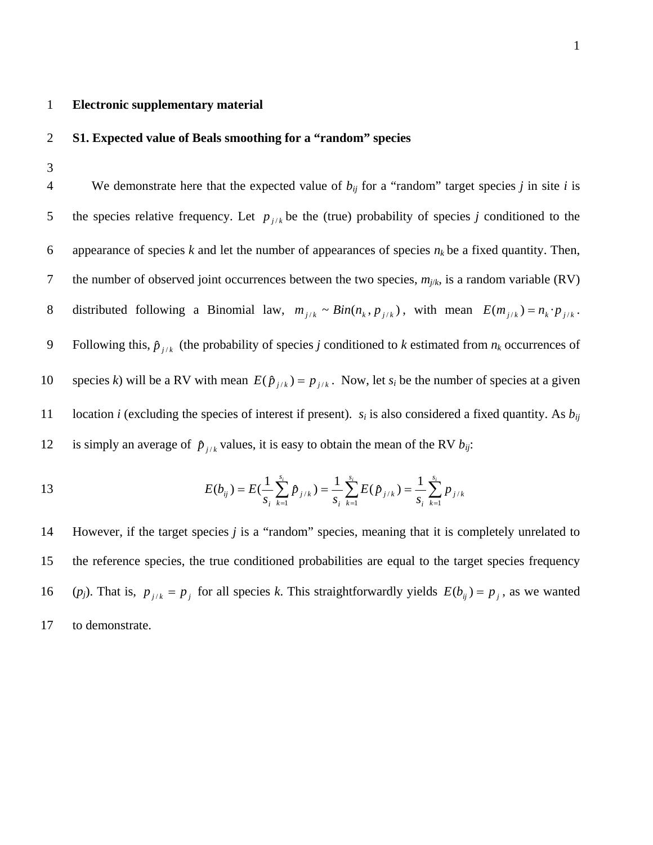## 1 **Electronic supplementary material**

#### 2 **S1. Expected value of Beals smoothing for a "random" species**

3

4 5 6 7 We demonstrate here that the expected value of  $b_{ij}$  for a "random" target species *j* in site *i* is the species relative frequency. Let  $p_{j/k}$  be the (true) probability of species *j* conditioned to the appearance of species  $k$  and let the number of appearances of species  $n_k$  be a fixed quantity. Then, the number of observed joint occurrences between the two species,  $m_{j/k}$ , is a random variable (RV) distributed following a Binomial law,  $m_{j/k} \sim Bin(n_k, p_{j/k})$ , with mean  $E(m_{j/k}) = n_k \cdot p_{j/k}$ . 9 Following this,  $p_{j/k}$  (the probability of species *j* conditioned to *k* estimated from  $n_k$  occurrences of species *k*) will be a RV with mean  $E(p_{j/k}) = p_{j/k}$ . Now, let *s<sub>i</sub>* be the number of species at a given 8 location *i* (excluding the species of interest if present).  $s_i$  is also considered a fixed quantity. As  $b_{ij}$ 12 is simply an average of  $\hat{p}_{j/k}$  values, it is easy to obtain the mean of the RV  $b_{ij}$ : 10 11

13 
$$
E(b_{ij}) = E(\frac{1}{s_i} \sum_{k=1}^{s_i} \hat{p}_{j/k}) = \frac{1}{s_i} \sum_{k=1}^{s_i} E(\hat{p}_{j/k}) = \frac{1}{s_i} \sum_{k=1}^{s_i} p_{j/k}
$$

14 15 16 17 However, if the target species *j* is a "random" species, meaning that it is completely unrelated to the reference species, the true conditioned probabilities are equal to the target species frequency  $(p_j)$ . That is,  $p_{j/k} = p_j$  for all species *k*. This straightforwardly yields  $E(b_{ij}) = p_j$ , as we wanted to demonstrate.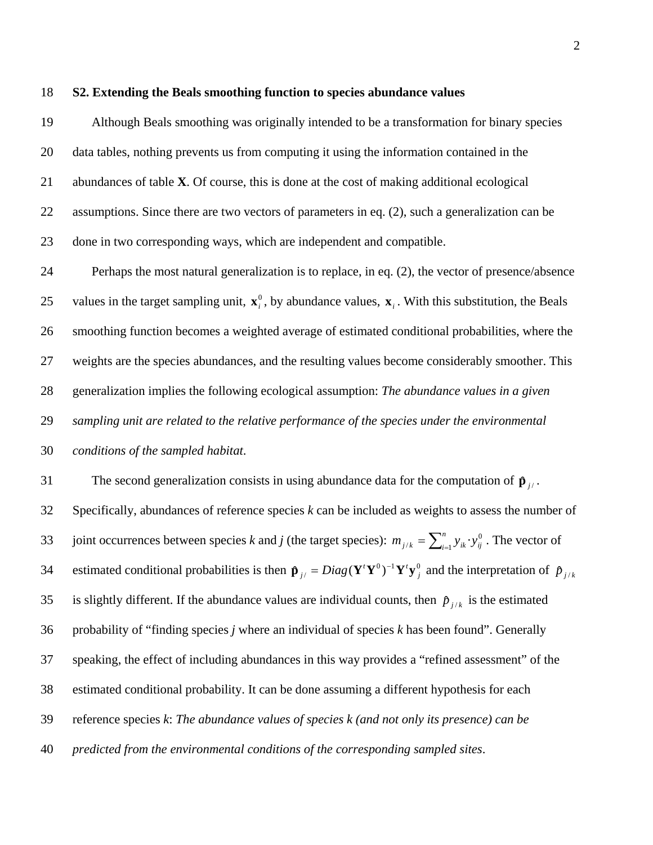## 18 **S2. Extending the Beals smoothing function to species abundance values**

19 20 21 22 23 24 Although Beals smoothing was originally intended to be a transformation for binary species data tables, nothing prevents us from computing it using the information contained in the abundances of table **X**. Of course, this is done at the cost of making additional ecological assumptions. Since there are two vectors of parameters in eq. (2), such a generalization can be done in two corresponding ways, which are independent and compatible. Perhaps the most natural generalization is to replace, in eq. (2), the vector of presence/absence

25 26 27 28 29 30 values in the target sampling unit,  $\mathbf{x}_i^0$ , by abundance values,  $\mathbf{x}_i$ . With this substitution, the Beals smoothing function becomes a weighted average of estimated conditional probabilities, where the weights are the species abundances, and the resulting values become considerably smoother. This generalization implies the following ecological assumption: *The abundance values in a given sampling unit are related to the relative performance of the species under the environmental conditions of the sampled habitat*.

31 32 The second generalization consists in using abundance data for the computation of  $\mathbf{p}_{j}$ . Specifically, abundances of reference species *k* can be included as weights to assess the number of joint occurrences between species *k* and *j* (the target species):  $m_{j/k} = \sum_{i=1}^{n} y_{ik} \cdot y_{ij}^0$ . The vector of  $1\mathbf{V}^t$  over  $0$ *j* estimated conditional probabilities is then  $\mathbf{p}_{j} = Diag(\mathbf{Y}'\mathbf{Y}^0)^{-1}\mathbf{Y}'\mathbf{y}^0_j$  and the interpretation of  $\hat{p}_{j/k}$ is slightly different. If the abundance values are individual counts, then  $\hat{p}_{j/k}$  is the estimated probability of "finding species *j* where an individual of species *k* has been found". Generally speaking, the effect of including abundances in this way provides a "refined assessment" of the estimated conditional probability. It can be done assuming a different hypothesis for each reference species *k*: *The abundance values of species k (and not only its presence) can be predicted from the environmental conditions of the corresponding sampled sites*. 33 34 35 36 37 38 39 40